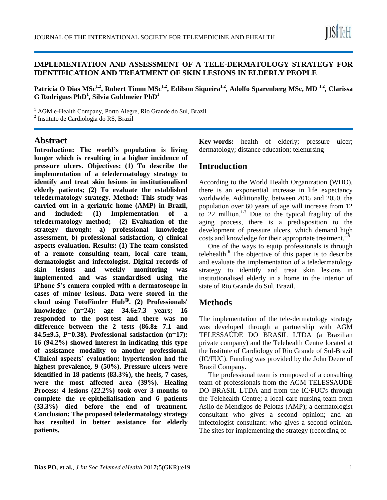

### **IMPLEMENTATION AND ASSESSMENT OF A TELE-DERMATOLOGY STRATEGY FOR IDENTIFICATION AND TREATMENT OF SKIN LESIONS IN ELDERLY PEOPLE**

**Patricia O Dias MSc1,2, Robert Timm MSc1,2, Edilson Siqueira1,2, Adolfo Sparenberg MSc, MD 1,2, Clarissa G Rodrigues PhD<sup>1</sup> , Silvia Goldmeier PhD<sup>1</sup>**

<sup>1</sup> AGM e-Health Company, Porto Alegre, Rio Grande do Sul, Brazil

2 Instituto de Cardiologia do RS, Brazil

### **Abstract**

**Introduction: The world's population is living longer which is resulting in a higher incidence of pressure ulcers. Objectives: (1) To describe the implementation of a teledermatology strategy to identify and treat skin lesions in institutionalised elderly patients; (2) To evaluate the established teledermatology strategy. Method: This study was carried out in a geriatric home (AMP) in Brazil, and included: (1) Implementation of a teledermatology method; (2) Evaluation of the strategy through: a) professional knowledge assessment, b) professional satisfaction, c) clinical aspects evaluation. Results: (1) The team consisted of a remote consulting team, local care team, dermatologist and infectologist. Digital records of skin lesions and weekly monitoring was implemented and was standardised using the iPhone 5's camera coupled with a dermatoscope in cases of minor lesions. Data were stored in the cloud using FotoFinder Hub**Ⓡ**. (2) Professionals' knowledge (n=24): age 34.6±7.3 years; 16 responded to the post-test and there was no difference between the 2 tests (86.8± 7.1 and 84.5±9.5, P=0.38). Professional satisfaction (n=17): 16 (94.2%) showed interest in indicating this type of assistance modality to another professional. Clinical aspects' evaluation: hypertension had the highest prevalence, 9 (50%). Pressure ulcers were identified in 18 patients (83.3%), the heels, 7 cases, were the most affected area (39%). Healing Process: 4 lesions (22.2%) took over 3 months to complete the re-epithelialisation and 6 patients (33.3%) died before the end of treatment. Conclusion: The proposed teledermatology strategy has resulted in better assistance for elderly patients.**

**Key-words:** health of elderly; pressure ulcer; dermatology; distance education; telenursing

# **Introduction**

According to the World Health Organization (WHO), there is an exponential increase in life expectancy worldwide. Additionally, between 2015 and 2050, the population over 60 years of age will increase from 12 to 22 million. $1-3$  Due to the typical fragility of the aging process, there is a predisposition to the development of pressure ulcers, which demand high costs and knowledge for their appropriate treatment.<sup>4,5</sup>

One of the ways to equip professionals is through telehealth.<sup>6</sup> The objective of this paper is to describe and evaluate the implementation of a teledermatology strategy to identify and treat skin lesions in institutionalised elderly in a home in the interior of state of Rio Grande do Sul, Brazil.

# **Methods**

The implementation of the tele-dermatology strategy was developed through a partnership with AGM TELESSAÚDE DO BRASIL LTDA (a Brazilian private company) and the Telehealth Centre located at the Institute of Cardiology of Rio Grande of Sul-Brazil (IC/FUC). Funding was provided by the John Deere of Brazil Company.

The professional team is composed of a consulting team of professionals from the AGM TELESSAÚDE DO BRASIL LTDA and from the IC/FUC's through the Telehealth Centre; a local care nursing team from Asilo de Mendigos de Pelotas (AMP); a dermatologist consultant who gives a second opinion; and an infectologist consultant: who gives a second opinion. The sites for implementing the strategy (recording of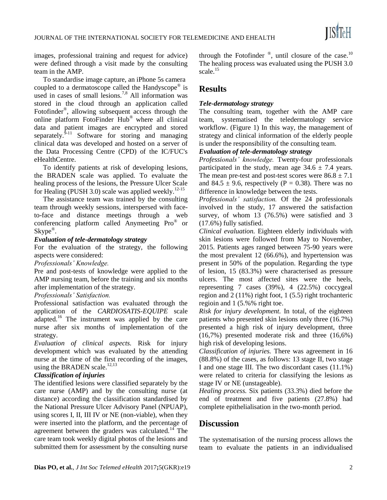

images, professional training and request for advice) were defined through a visit made by the consulting team in the AMP.

To standardise image capture, an iPhone 5s camera coupled to a dermatoscope called the Handyscope® is used in cases of small lesions.<sup>7,8</sup> All information was stored in the cloud through an application called Fotofinder® , allowing subsequent access through the online platform FotoFinder Hub® where all clinical data and patient images are encrypted and stored separately. ${}^{9-11}$  Software for storing and managing clinical data was developed and hosted on a server of the Data Processing Centre (CPD) of the IC/FUC's eHealthCentre.

To identify patients at risk of developing lesions, the BRADEN scale was applied. To evaluate the healing process of the lesions, the Pressure Ulcer Scale for Healing (PUSH 3.0) scale was applied weekly.<sup>12-15</sup>

The assistance team was trained by the consulting team through weekly sessions, interspersed with faceto-face and distance meetings through a web conferencing platform called Anymeeting Pro® or Skype<sup>®</sup>.

#### *Evaluation of tele-dermatology strategy*

For the evaluation of the strategy, the following aspects were considered:

*Professionals' Knowledge.* 

Pre and post-tests of knowledge were applied to the AMP nursing team, before the training and six months after implementation of the strategy.

#### *Professionals' Satisfaction.*

Professional satisfaction was evaluated through the application of the *CARDIOSATIS-EQUIPE* scale adapted.<sup>16</sup> The instrument was applied by the care nurse after six months of implementation of the strategy.

*Evaluation of clinical aspects.* Risk for injury development which was evaluated by the attending nurse at the time of the first recording of the images, using the BRADEN scale.<sup>12,13</sup>

### *Classification of injuries*

The identified lesions were classified separately by the care nurse (AMP) and by the consulting nurse (at distance) according the classification standardised by the National Pressure Ulcer Advisory Panel (NPUAP), using scores I, II, III IV or NE (non-viable), when they were inserted into the platform, and the percentage of agreement between the graders was calculated.<sup>14</sup> The care team took weekly digital photos of the lesions and submitted them for assessment by the consulting nurse

through the Fotofinder  $\degree$ , until closure of the case.<sup>10</sup> The healing process was evaluated using the PUSH 3.0 scale.<sup>15</sup>

# **Results**

### *Tele-dermatology strategy*

The consulting team, together with the AMP care team, systematised the teledermatology service workflow. (Figure 1) In this way, the management of strategy and clinical information of the elderly people is under the responsibility of the consulting team.

### *Evaluation of tele-dermatology strategy*

*Professionals' knowledge.* Twenty-four professionals participated in the study, mean age  $34.6 \pm 7.4$  years. The mean pre-test and post-test scores were  $86.8 \pm 7.1$ and 84.5  $\pm$  9.6, respectively (P = 0.38). There was no difference in knowledge between the tests.

*Professionals' satisfaction.* Of the 24 professionals involved in the study, 17 answered the satisfaction survey, of whom 13 (76.5%) were satisfied and 3 (17.6%) fully satisfied.

*Clinical evaluation.* Eighteen elderly individuals with skin lesions were followed from May to November, 2015. Patients ages ranged between 75-90 years were the most prevalent 12 (66.6%), and hypertension was present in 50% of the population. Regarding the type of lesion, 15 (83.3%) were characterised as pressure ulcers. The most affected sites were the heels, representing 7 cases (39%), 4 (22.5%) coccygeal region and 2 (11%) right foot, 1 (5.5) right trochanteric regioin and 1 (5.%% right toe.

*Risk for injury development.* In total, of the eighteen patients who presented skin lesions only three (16.7%) presented a high risk of injury development, three (16,7%) presented moderate risk and three (16,6%) high risk of developing lesions.

*Classification of injuries.* There was agreement in 16 (88.8%) of the cases, as follows: 13 stage II, two stage I and one stage III. The two discordant cases (11.1%) were related to criteria for classifying the lesions as stage IV or NE (unstageable).

*Healing process.* Six patients (33.3%) died before the end of treatment and five patients (27.8%) had complete epithelialisation in the two-month period.

### **Discussion**

The systematisation of the nursing process allows the team to evaluate the patients in an individualised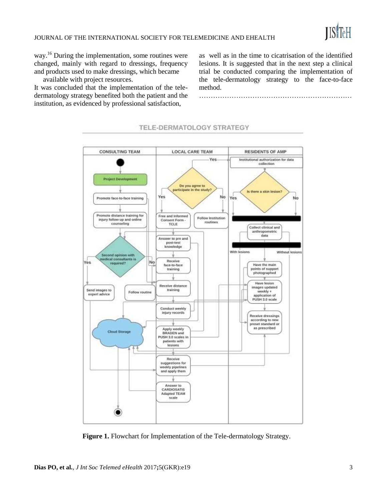way.<sup>16</sup> During the implementation, some routines were changed, mainly with regard to dressings, frequency and products used to make dressings, which became

available with project resources.

It was concluded that the implementation of the teledermatology strategy benefited both the patient and the institution, as evidenced by professional satisfaction,

as well as in the time to cicatrisation of the identified lesions. It is suggested that in the next step a clinical trial be conducted comparing the implementation of the tele-dermatology strategy to the face-to-face method.

…………………………………………………………



### TELE-DERMATOLOGY STRATEGY

**Figure 1.** Flowchart for Implementation of the Tele-dermatology Strategy.